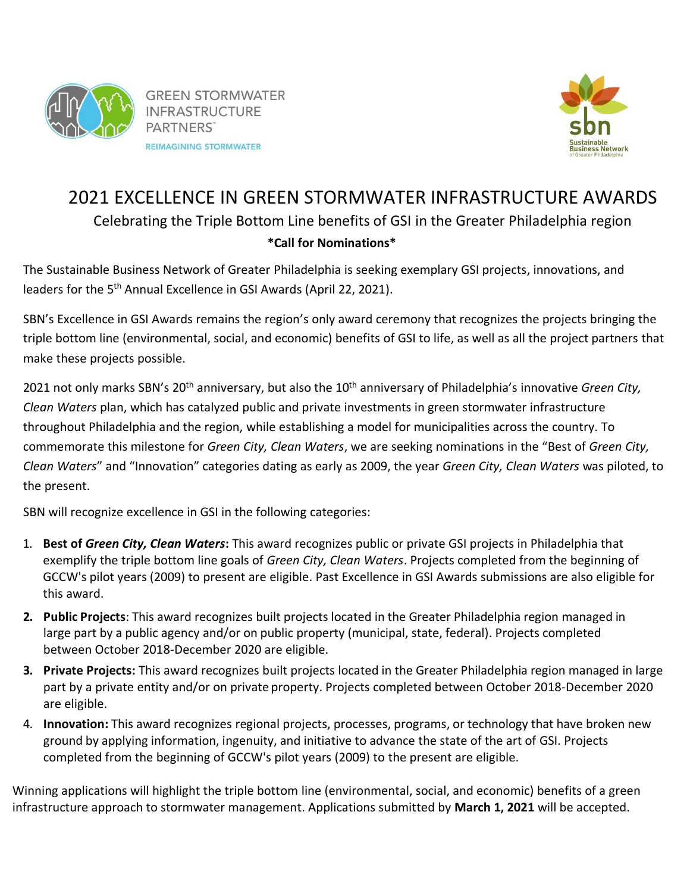

**GREEN STORMWATER INFRASTRUCTURE** PARTNERS" **REIMAGINING STORMWATER** 



# 2021 EXCELLENCE IN GREEN STORMWATER INFRASTRUCTURE AWARDS Celebrating the Triple Bottom Line benefits of GSI in the Greater Philadelphia region **\*Call for Nominations\***

The Sustainable Business Network of Greater Philadelphia is seeking exemplary GSI projects, innovations, and leaders for the 5<sup>th</sup> Annual Excellence in GSI Awards (April 22, 2021).

SBN's Excellence in GSI Awards remains the region's only award ceremony that recognizes the projects bringing the triple bottom line (environmental, social, and economic) benefits of GSI to life, as well as all the project partners that make these projects possible.

2021 not only marks SBN's 20<sup>th</sup> anniversary, but also the 10<sup>th</sup> anniversary of Philadelphia's innovative *Green City*, *Clean Waters* plan, which has catalyzed public and private investments in green stormwater infrastructure throughout Philadelphia and the region, while establishing a model for municipalities across the country. To commemorate this milestone for *Green City, Clean Waters*, we are seeking nominations in the "Best of *Green City, Clean Waters*" and "Innovation" categories dating as early as 2009, the year *Green City, Clean Waters* was piloted, to the present.

SBN will recognize excellence in GSI in the following categories:

- 1. **Best of** *Green City, Clean Waters***:** This award recognizes public or private GSI projects in Philadelphia that exemplify the triple bottom line goals of *Green City, Clean Waters*. Projects completed from the beginning of GCCW's pilot years (2009) to present are eligible. Past Excellence in GSI Awards submissions are also eligible for this award.
- **2. Public Projects**: This award recognizes built projects located in the Greater Philadelphia region managed in large part by a public agency and/or on public property (municipal, state, federal). Projects completed between October 2018-December 2020 are eligible.
- **3. Private Projects:** This award recognizes built projects located in the Greater Philadelphia region managed in large part by a private entity and/or on private property. Projects completed between October 2018-December 2020 are eligible.
- 4. **Innovation:** This award recognizes regional projects, processes, programs, or technology that have broken new ground by applying information, ingenuity, and initiative to advance the state of the art of GSI. Projects completed from the beginning of GCCW's pilot years (2009) to the present are eligible.

Winning applications will highlight the triple bottom line (environmental, social, and economic) benefits of a green infrastructure approach to stormwater management. Applications submitted by **March 1, 2021** will be accepted.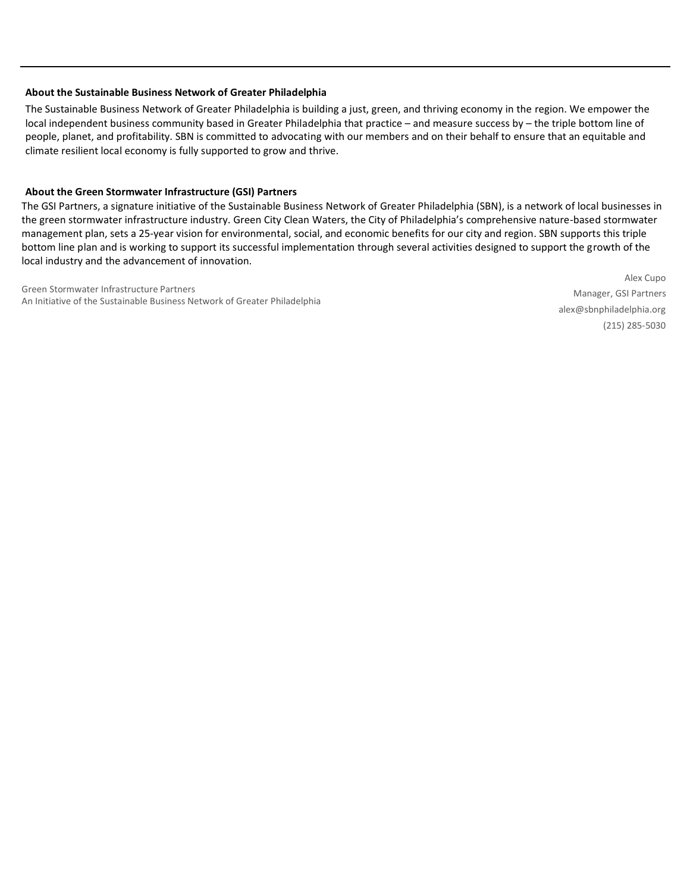#### **About the Sustainable Business Network of Greater Philadelphia**

The Sustainable Business Network of Greater Philadelphia is building a just, green, and thriving economy in the region. We empower the local independent business community based in Greater Philadelphia that practice – and measure success by – the triple bottom line of people, planet, and profitability. SBN is committed to advocating with our members and on their behalf to ensure that an equitable and climate resilient local economy is fully supported to grow and thrive.

#### **About the Green Stormwater Infrastructure (GSI) Partners**

The GSI Partners, a signature initiative of the Sustainable Business Network of Greater Philadelphia (SBN), is a network of local businesses in the green stormwater infrastructure industry. Green City Clean Waters, the City of Philadelphia's comprehensive nature-based stormwater management plan, sets a 25-year vision for environmental, social, and economic benefits for our city and region. SBN supports this triple bottom line plan and is working to support its successful implementation through several activities designed to support the growth of the local industry and the advancement of innovation.

Green Stormwater Infrastructure Partners An Initiative of the Sustainable Business Network of Greater Philadelphia

Alex Cupo Manager, GSI Partners alex@sbnphiladelphia.org (215) 285-5030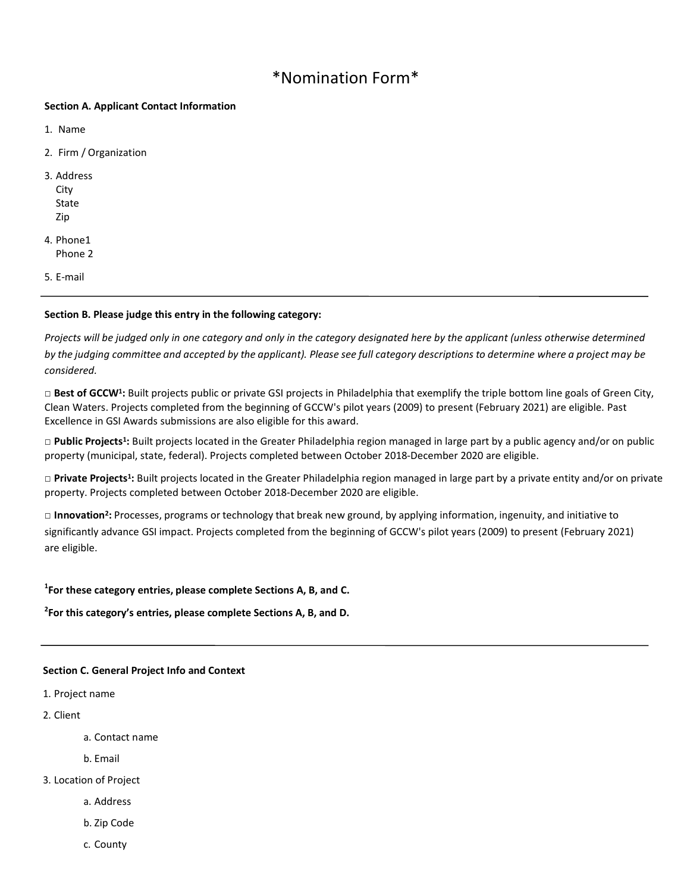## \*Nomination Form\*

#### **Section A. Applicant Contact Information**

- 1. Name
- 2. Firm / Organization
- 3. Address City State Zip
- 4. Phone1 Phone 2
- 5. E-mail

## **Section B. Please judge this entry in the following category:**

*Projects will be judged only in one category and only in the category designated here by the applicant (unless otherwise determined*  by the judging committee and accepted by the applicant). Please see full category descriptions to determine where a project may be *considered.*

□ Best of GCCW<sup>1</sup>: Built projects public or private GSI projects in Philadelphia that exemplify the triple bottom line goals of Green City, Clean Waters. Projects completed from the beginning of GCCW's pilot years (2009) to present (February 2021) are eligible. Past Excellence in GSI Awards submissions are also eligible for this award.

□ Public Projects<sup>1</sup>: Built projects located in the Greater Philadelphia region managed in large part by a public agency and/or on public property (municipal, state, federal). Projects completed between October 2018-December 2020 are eligible.

□ Private Projects<sup>1</sup>: Built projects located in the Greater Philadelphia region managed in large part by a private entity and/or on private property. Projects completed between October 2018-December 2020 are eligible.

□ Innovation<sup>2</sup>: Processes, programs or technology that break new ground, by applying information, ingenuity, and initiative to significantly advance GSI impact. Projects completed from the beginning of GCCW's pilot years (2009) to present (February 2021) are eligible.

## **1 For these category entries, please complete Sections A, B, and C.**

## **2 For this category's entries, please complete Sections A, B, and D.**

#### **Section C. General Project Info and Context**

- 1. Project name
- 2. Client
	- a. Contact name
	- b. Email

#### 3. Location of Project

- a. Address
- b. Zip Code
- c. County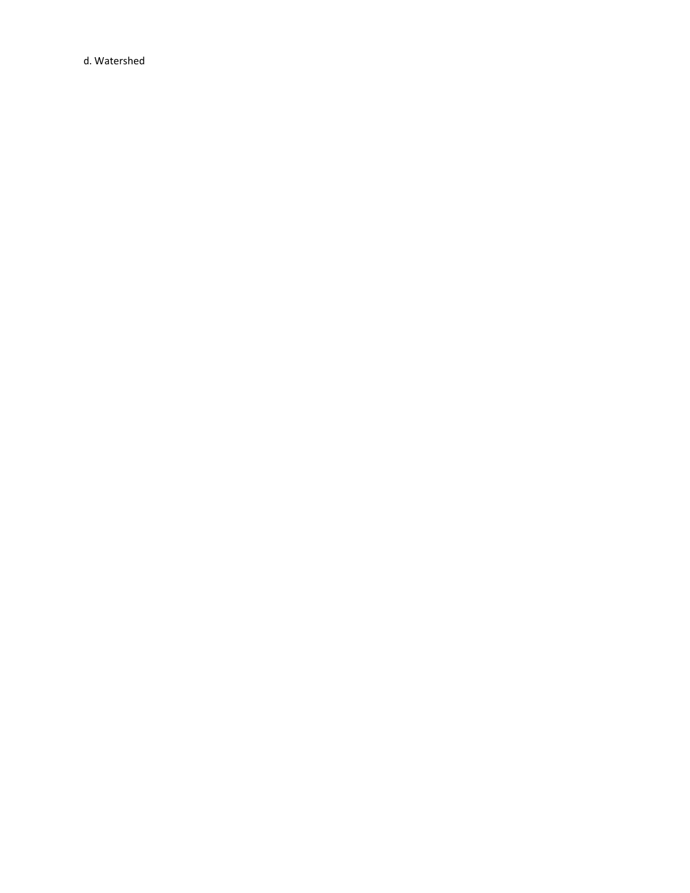d. Watershed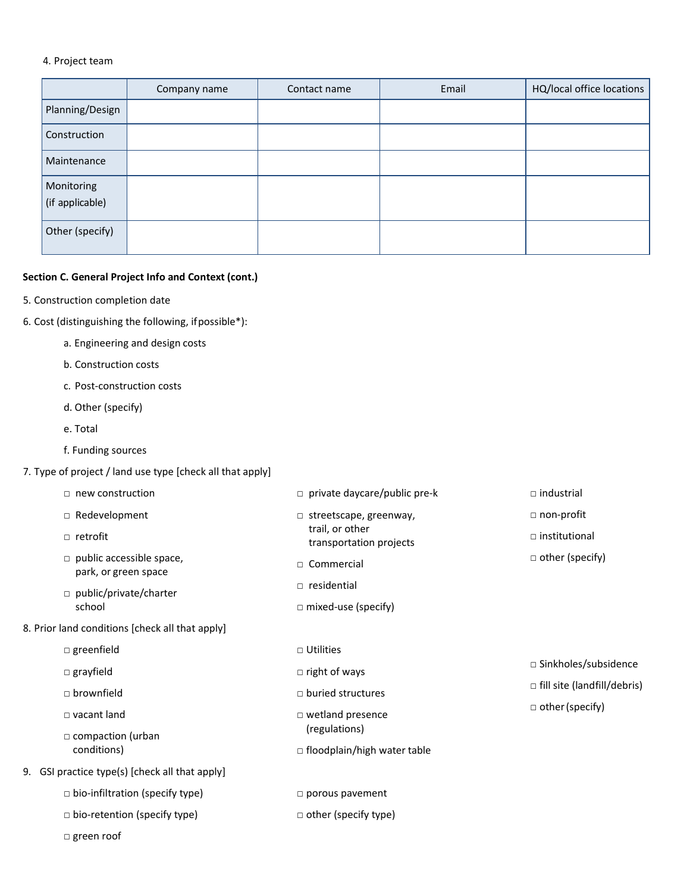## 4. Project team

|                               | Company name | Contact name | Email | HQ/local office locations |
|-------------------------------|--------------|--------------|-------|---------------------------|
| Planning/Design               |              |              |       |                           |
| Construction                  |              |              |       |                           |
| Maintenance                   |              |              |       |                           |
| Monitoring<br>(if applicable) |              |              |       |                           |
| Other (specify)               |              |              |       |                           |

## **Section C. General Project Info and Context (cont.)**

- 5. Construction completion date
- 6. Cost (distinguishing the following, ifpossible\*):
	- a. Engineering and design costs
	- b. Construction costs
	- c. Post-construction costs
	- d. Other (specify)
	- e. Total
	- f. Funding sources

## 7. Type of project / land use type [check all that apply]

|  | $\Box$ new construction                                 | $\Box$ private daycare/public pre-k        | $\Box$ industrial                                              |
|--|---------------------------------------------------------|--------------------------------------------|----------------------------------------------------------------|
|  | □ Redevelopment                                         | $\Box$ streetscape, greenway,              | □ non-profit<br>$\Box$ institutional<br>$\Box$ other (specify) |
|  | □ retrofit                                              | trail, or other<br>transportation projects |                                                                |
|  | $\Box$ public accessible space,<br>park, or green space | □ Commercial                               |                                                                |
|  | $\Box$ public/private/charter                           | $\Box$ residential                         |                                                                |
|  | school                                                  | $\Box$ mixed-use (specify)                 |                                                                |
|  | 8. Prior land conditions [check all that apply]         |                                            |                                                                |
|  | $\square$ greenfield                                    | $\Box$ Utilities                           |                                                                |
|  | $\square$ grayfield                                     | $\Box$ right of ways                       | □ Sinkholes/subsidence                                         |
|  | $\Box$ brownfield                                       | $\Box$ buried structures                   | $\Box$ fill site (landfill/debris)                             |
|  | $\Box$ vacant land<br>$\Box$ compaction (urban          | □ wetland presence<br>(regulations)        | $\Box$ other (specify)                                         |
|  | conditions)                                             | □ floodplain/high water table              |                                                                |
|  | 9. GSI practice type(s) [check all that apply]          |                                            |                                                                |
|  | $\Box$ bio-infiltration (specify type)                  | $\square$ porous pavement                  |                                                                |
|  | $\Box$ bio-retention (specify type)                     | $\Box$ other (specify type)                |                                                                |
|  | $\square$ green roof                                    |                                            |                                                                |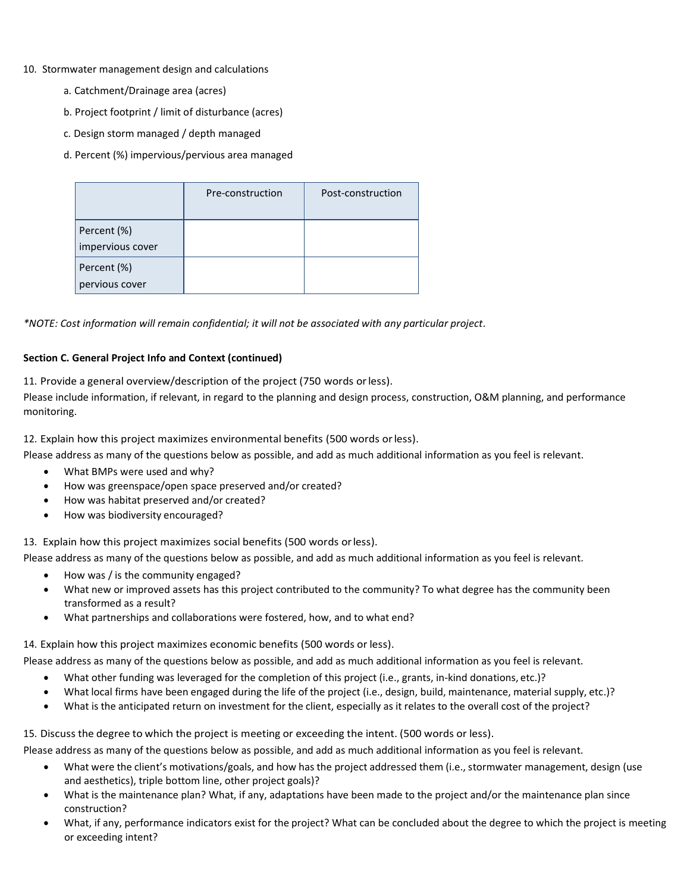- 10. Stormwater management design and calculations
	- a. Catchment/Drainage area (acres)
	- b. Project footprint / limit of disturbance (acres)
	- c. Design storm managed / depth managed
	- d. Percent (%) impervious/pervious area managed

|                                 | Pre-construction | Post-construction |
|---------------------------------|------------------|-------------------|
| Percent (%)<br>impervious cover |                  |                   |
| Percent (%)<br>pervious cover   |                  |                   |

*\*NOTE: Cost information will remain confidential; it will not be associated with any particular project.*

## **Section C. General Project Info and Context (continued)**

11. Provide a general overview/description of the project (750 words orless).

Please include information, if relevant, in regard to the planning and design process, construction, O&M planning, and performance monitoring.

12. Explain how this project maximizes environmental benefits (500 words orless).

Please address as many of the questions below as possible, and add as much additional information as you feel is relevant.

- What BMPs were used and why?
- How was greenspace/open space preserved and/or created?
- How was habitat preserved and/or created?
- How was biodiversity encouraged?

13. Explain how this project maximizes social benefits (500 words orless).

Please address as many of the questions below as possible, and add as much additional information as you feel is relevant.

- How was / is the community engaged?
- What new or improved assets has this project contributed to the community? To what degree has the community been transformed as a result?
- What partnerships and collaborations were fostered, how, and to what end?

14. Explain how this project maximizes economic benefits (500 words or less).

Please address as many of the questions below as possible, and add as much additional information as you feel is relevant.

- What other funding was leveraged for the completion of this project (i.e., grants, in-kind donations, etc.)?
- What local firms have been engaged during the life of the project (i.e., design, build, maintenance, material supply, etc.)?
- What is the anticipated return on investment for the client, especially as it relates to the overall cost of the project?

15. Discuss the degree to which the project is meeting or exceeding the intent. (500 words or less).

Please address as many of the questions below as possible, and add as much additional information as you feel is relevant.

- What were the client's motivations/goals, and how has the project addressed them (i.e., stormwater management, design (use and aesthetics), triple bottom line, other project goals)?
- What is the maintenance plan? What, if any, adaptations have been made to the project and/or the maintenance plan since construction?
- What, if any, performance indicators exist for the project? What can be concluded about the degree to which the project is meeting or exceeding intent?